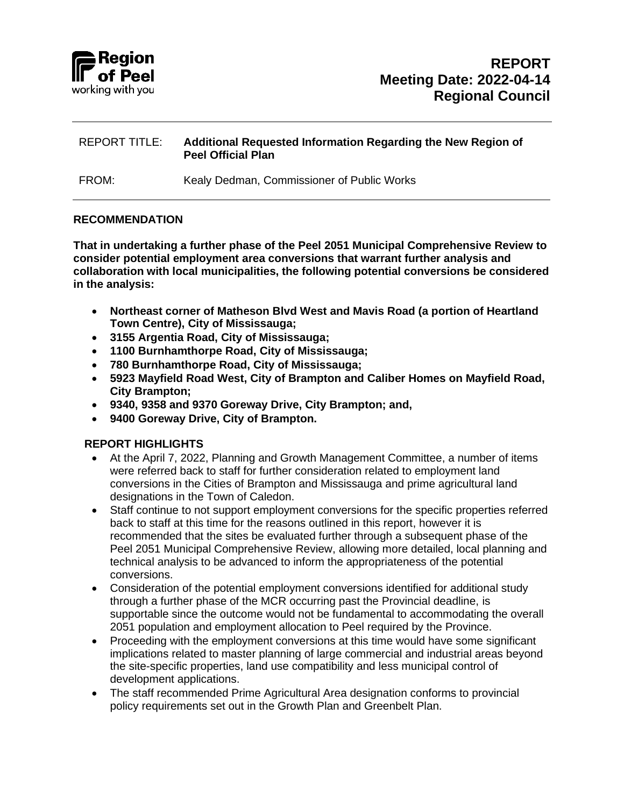

FROM: Kealy Dedman, Commissioner of Public Works

#### **RECOMMENDATION**

**That in undertaking a further phase of the Peel 2051 Municipal Comprehensive Review to consider potential employment area conversions that warrant further analysis and collaboration with local municipalities, the following potential conversions be considered in the analysis:** 

- **Northeast corner of Matheson Blvd West and Mavis Road (a portion of Heartland Town Centre), City of Mississauga;**
- **3155 Argentia Road, City of Mississauga;**
- **1100 Burnhamthorpe Road, City of Mississauga;**
- **780 Burnhamthorpe Road, City of Mississauga;**
- **5923 Mayfield Road West, City of Brampton and Caliber Homes on Mayfield Road, City Brampton;**
- **9340, 9358 and 9370 Goreway Drive, City Brampton; and,**
- **9400 Goreway Drive, City of Brampton.**

### **REPORT HIGHLIGHTS**

- At the April 7, 2022, Planning and Growth Management Committee, a number of items were referred back to staff for further consideration related to employment land conversions in the Cities of Brampton and Mississauga and prime agricultural land designations in the Town of Caledon.
- Staff continue to not support employment conversions for the specific properties referred back to staff at this time for the reasons outlined in this report, however it is recommended that the sites be evaluated further through a subsequent phase of the Peel 2051 Municipal Comprehensive Review, allowing more detailed, local planning and technical analysis to be advanced to inform the appropriateness of the potential conversions.
- Consideration of the potential employment conversions identified for additional study through a further phase of the MCR occurring past the Provincial deadline, is supportable since the outcome would not be fundamental to accommodating the overall 2051 population and employment allocation to Peel required by the Province.
- Proceeding with the employment conversions at this time would have some significant implications related to master planning of large commercial and industrial areas beyond the site-specific properties, land use compatibility and less municipal control of development applications.
- The staff recommended Prime Agricultural Area designation conforms to provincial policy requirements set out in the Growth Plan and Greenbelt Plan.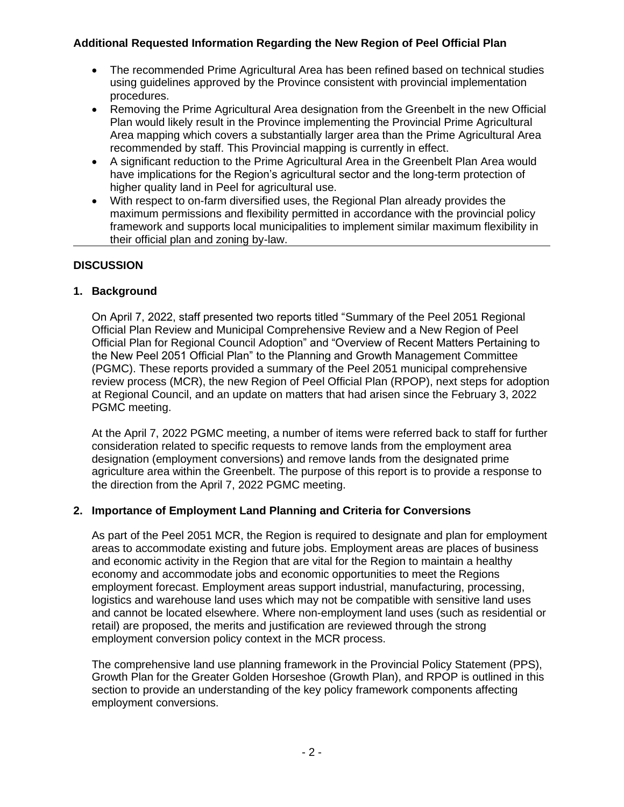- The recommended Prime Agricultural Area has been refined based on technical studies using guidelines approved by the Province consistent with provincial implementation procedures.
- Removing the Prime Agricultural Area designation from the Greenbelt in the new Official Plan would likely result in the Province implementing the Provincial Prime Agricultural Area mapping which covers a substantially larger area than the Prime Agricultural Area recommended by staff. This Provincial mapping is currently in effect.
- A significant reduction to the Prime Agricultural Area in the Greenbelt Plan Area would have implications for the Region's agricultural sector and the long-term protection of higher quality land in Peel for agricultural use.
- With respect to on-farm diversified uses, the Regional Plan already provides the maximum permissions and flexibility permitted in accordance with the provincial policy framework and supports local municipalities to implement similar maximum flexibility in their official plan and zoning by-law.

# **DISCUSSION**

### **1. Background**

On April 7, 2022, staff presented two reports titled "Summary of the Peel 2051 Regional Official Plan Review and Municipal Comprehensive Review and a New Region of Peel Official Plan for Regional Council Adoption" and "Overview of Recent Matters Pertaining to the New Peel 2051 Official Plan" to the Planning and Growth Management Committee (PGMC). These reports provided a summary of the Peel 2051 municipal comprehensive review process (MCR), the new Region of Peel Official Plan (RPOP), next steps for adoption at Regional Council, and an update on matters that had arisen since the February 3, 2022 PGMC meeting.

At the April 7, 2022 PGMC meeting, a number of items were referred back to staff for further consideration related to specific requests to remove lands from the employment area designation (employment conversions) and remove lands from the designated prime agriculture area within the Greenbelt. The purpose of this report is to provide a response to the direction from the April 7, 2022 PGMC meeting.

### **2. Importance of Employment Land Planning and Criteria for Conversions**

As part of the Peel 2051 MCR, the Region is required to designate and plan for employment areas to accommodate existing and future jobs. Employment areas are places of business and economic activity in the Region that are vital for the Region to maintain a healthy economy and accommodate jobs and economic opportunities to meet the Regions employment forecast. Employment areas support industrial, manufacturing, processing, logistics and warehouse land uses which may not be compatible with sensitive land uses and cannot be located elsewhere. Where non-employment land uses (such as residential or retail) are proposed, the merits and justification are reviewed through the strong employment conversion policy context in the MCR process.

The comprehensive land use planning framework in the Provincial Policy Statement (PPS), Growth Plan for the Greater Golden Horseshoe (Growth Plan), and RPOP is outlined in this section to provide an understanding of the key policy framework components affecting employment conversions.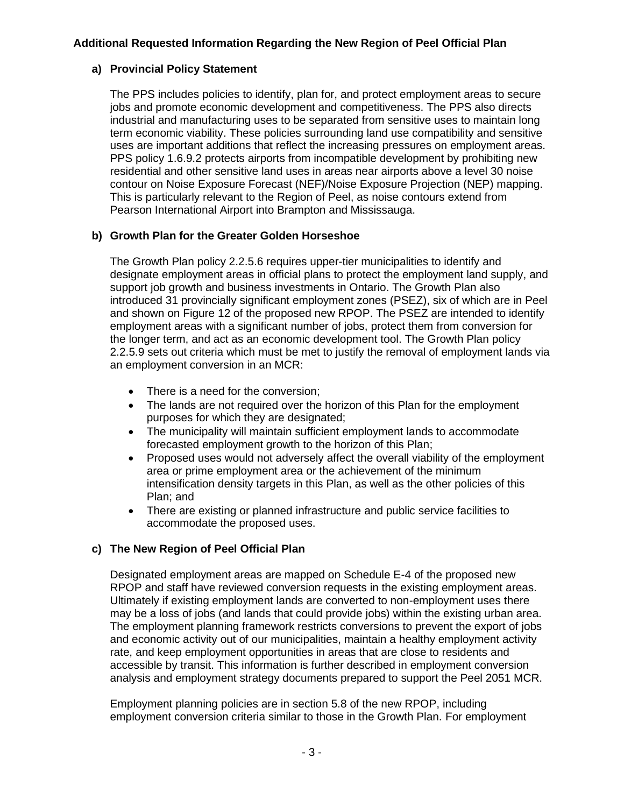## **a) Provincial Policy Statement**

The PPS includes policies to identify, plan for, and protect employment areas to secure jobs and promote economic development and competitiveness. The PPS also directs industrial and manufacturing uses to be separated from sensitive uses to maintain long term economic viability. These policies surrounding land use compatibility and sensitive uses are important additions that reflect the increasing pressures on employment areas. PPS policy 1.6.9.2 protects airports from incompatible development by prohibiting new residential and other sensitive land uses in areas near airports above a level 30 noise contour on Noise Exposure Forecast (NEF)/Noise Exposure Projection (NEP) mapping. This is particularly relevant to the Region of Peel, as noise contours extend from Pearson International Airport into Brampton and Mississauga.

### **b) Growth Plan for the Greater Golden Horseshoe**

The Growth Plan policy 2.2.5.6 requires upper-tier municipalities to identify and designate employment areas in official plans to protect the employment land supply, and support job growth and business investments in Ontario. The Growth Plan also introduced 31 provincially significant employment zones (PSEZ), six of which are in Peel and shown on Figure 12 of the proposed new RPOP. The PSEZ are intended to identify employment areas with a significant number of jobs, protect them from conversion for the longer term, and act as an economic development tool. The Growth Plan policy 2.2.5.9 sets out criteria which must be met to justify the removal of employment lands via an employment conversion in an MCR:

- There is a need for the conversion;
- The lands are not required over the horizon of this Plan for the employment purposes for which they are designated;
- The municipality will maintain sufficient employment lands to accommodate forecasted employment growth to the horizon of this Plan;
- Proposed uses would not adversely affect the overall viability of the employment area or prime employment area or the achievement of the minimum intensification density targets in this Plan, as well as the other policies of this Plan; and
- There are existing or planned infrastructure and public service facilities to accommodate the proposed uses.

# **c) The New Region of Peel Official Plan**

Designated employment areas are mapped on Schedule E-4 of the proposed new RPOP and staff have reviewed conversion requests in the existing employment areas. Ultimately if existing employment lands are converted to non-employment uses there may be a loss of jobs (and lands that could provide jobs) within the existing urban area. The employment planning framework restricts conversions to prevent the export of jobs and economic activity out of our municipalities, maintain a healthy employment activity rate, and keep employment opportunities in areas that are close to residents and accessible by transit. This information is further described in employment conversion analysis and employment strategy documents prepared to support the Peel 2051 MCR.

Employment planning policies are in section 5.8 of the new RPOP, including employment conversion criteria similar to those in the Growth Plan. For employment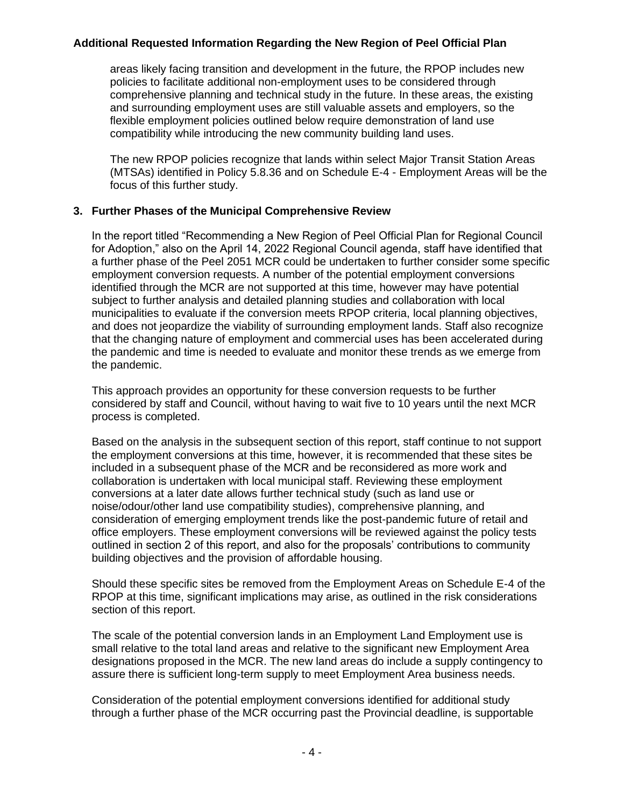areas likely facing transition and development in the future, the RPOP includes new policies to facilitate additional non-employment uses to be considered through comprehensive planning and technical study in the future. In these areas, the existing and surrounding employment uses are still valuable assets and employers, so the flexible employment policies outlined below require demonstration of land use compatibility while introducing the new community building land uses.

The new RPOP policies recognize that lands within select Major Transit Station Areas (MTSAs) identified in Policy 5.8.36 and on Schedule E-4 - Employment Areas will be the focus of this further study.

### **3. Further Phases of the Municipal Comprehensive Review**

In the report titled "Recommending a New Region of Peel Official Plan for Regional Council for Adoption," also on the April 14, 2022 Regional Council agenda, staff have identified that a further phase of the Peel 2051 MCR could be undertaken to further consider some specific employment conversion requests. A number of the potential employment conversions identified through the MCR are not supported at this time, however may have potential subject to further analysis and detailed planning studies and collaboration with local municipalities to evaluate if the conversion meets RPOP criteria, local planning objectives, and does not jeopardize the viability of surrounding employment lands. Staff also recognize that the changing nature of employment and commercial uses has been accelerated during the pandemic and time is needed to evaluate and monitor these trends as we emerge from the pandemic.

This approach provides an opportunity for these conversion requests to be further considered by staff and Council, without having to wait five to 10 years until the next MCR process is completed.

Based on the analysis in the subsequent section of this report, staff continue to not support the employment conversions at this time, however, it is recommended that these sites be included in a subsequent phase of the MCR and be reconsidered as more work and collaboration is undertaken with local municipal staff. Reviewing these employment conversions at a later date allows further technical study (such as land use or noise/odour/other land use compatibility studies), comprehensive planning, and consideration of emerging employment trends like the post-pandemic future of retail and office employers. These employment conversions will be reviewed against the policy tests outlined in section 2 of this report, and also for the proposals' contributions to community building objectives and the provision of affordable housing.

Should these specific sites be removed from the Employment Areas on Schedule E-4 of the RPOP at this time, significant implications may arise, as outlined in the risk considerations section of this report.

The scale of the potential conversion lands in an Employment Land Employment use is small relative to the total land areas and relative to the significant new Employment Area designations proposed in the MCR. The new land areas do include a supply contingency to assure there is sufficient long-term supply to meet Employment Area business needs.

Consideration of the potential employment conversions identified for additional study through a further phase of the MCR occurring past the Provincial deadline, is supportable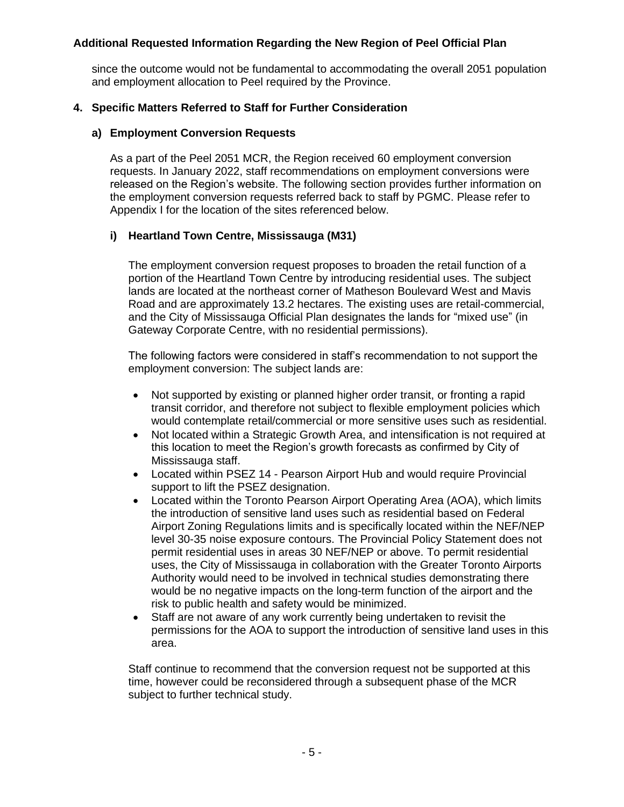since the outcome would not be fundamental to accommodating the overall 2051 population and employment allocation to Peel required by the Province.

### **4. Specific Matters Referred to Staff for Further Consideration**

### **a) Employment Conversion Requests**

As a part of the Peel 2051 MCR, the Region received 60 employment conversion requests. In January 2022, staff recommendations on employment conversions were released on the Region's website. The following section provides further information on the employment conversion requests referred back to staff by PGMC. Please refer to Appendix I for the location of the sites referenced below.

### **i) Heartland Town Centre, Mississauga (M31)**

The employment conversion request proposes to broaden the retail function of a portion of the Heartland Town Centre by introducing residential uses. The subject lands are located at the northeast corner of Matheson Boulevard West and Mavis Road and are approximately 13.2 hectares. The existing uses are retail-commercial, and the City of Mississauga Official Plan designates the lands for "mixed use" (in Gateway Corporate Centre, with no residential permissions).

The following factors were considered in staff's recommendation to not support the employment conversion: The subject lands are:

- Not supported by existing or planned higher order transit, or fronting a rapid transit corridor, and therefore not subject to flexible employment policies which would contemplate retail/commercial or more sensitive uses such as residential.
- Not located within a Strategic Growth Area, and intensification is not required at this location to meet the Region's growth forecasts as confirmed by City of Mississauga staff.
- Located within PSEZ 14 Pearson Airport Hub and would require Provincial support to lift the PSEZ designation.
- Located within the Toronto Pearson Airport Operating Area (AOA), which limits the introduction of sensitive land uses such as residential based on Federal Airport Zoning Regulations limits and is specifically located within the NEF/NEP level 30-35 noise exposure contours. The Provincial Policy Statement does not permit residential uses in areas 30 NEF/NEP or above. To permit residential uses, the City of Mississauga in collaboration with the Greater Toronto Airports Authority would need to be involved in technical studies demonstrating there would be no negative impacts on the long-term function of the airport and the risk to public health and safety would be minimized.
- Staff are not aware of any work currently being undertaken to revisit the permissions for the AOA to support the introduction of sensitive land uses in this area.

Staff continue to recommend that the conversion request not be supported at this time, however could be reconsidered through a subsequent phase of the MCR subject to further technical study.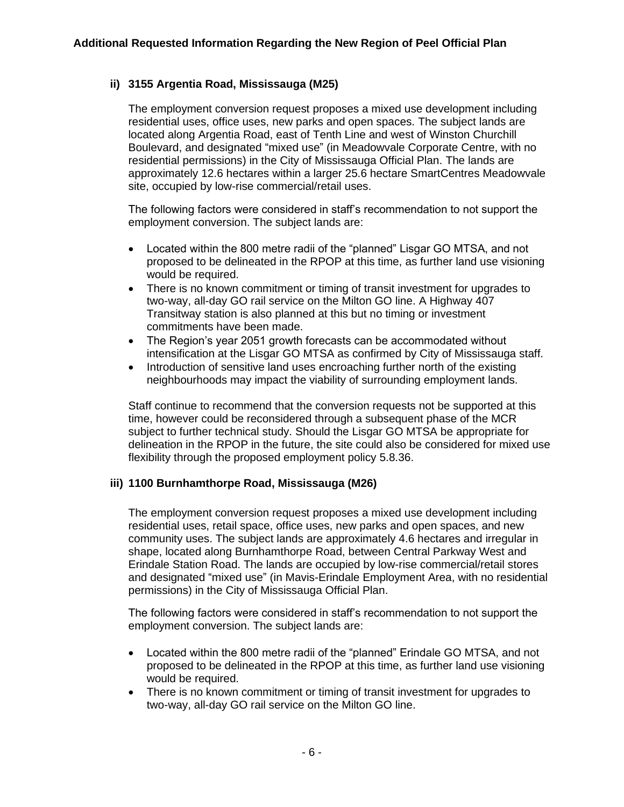## **ii) 3155 Argentia Road, Mississauga (M25)**

The employment conversion request proposes a mixed use development including residential uses, office uses, new parks and open spaces. The subject lands are located along Argentia Road, east of Tenth Line and west of Winston Churchill Boulevard, and designated "mixed use" (in Meadowvale Corporate Centre, with no residential permissions) in the City of Mississauga Official Plan. The lands are approximately 12.6 hectares within a larger 25.6 hectare SmartCentres Meadowvale site, occupied by low-rise commercial/retail uses.

The following factors were considered in staff's recommendation to not support the employment conversion. The subject lands are:

- Located within the 800 metre radii of the "planned" Lisgar GO MTSA, and not proposed to be delineated in the RPOP at this time, as further land use visioning would be required.
- There is no known commitment or timing of transit investment for upgrades to two-way, all-day GO rail service on the Milton GO line. A Highway 407 Transitway station is also planned at this but no timing or investment commitments have been made.
- The Region's year 2051 growth forecasts can be accommodated without intensification at the Lisgar GO MTSA as confirmed by City of Mississauga staff.
- Introduction of sensitive land uses encroaching further north of the existing neighbourhoods may impact the viability of surrounding employment lands.

Staff continue to recommend that the conversion requests not be supported at this time, however could be reconsidered through a subsequent phase of the MCR subject to further technical study. Should the Lisgar GO MTSA be appropriate for delineation in the RPOP in the future, the site could also be considered for mixed use flexibility through the proposed employment policy 5.8.36.

### **iii) 1100 Burnhamthorpe Road, Mississauga (M26)**

The employment conversion request proposes a mixed use development including residential uses, retail space, office uses, new parks and open spaces, and new community uses. The subject lands are approximately 4.6 hectares and irregular in shape, located along Burnhamthorpe Road, between Central Parkway West and Erindale Station Road. The lands are occupied by low-rise commercial/retail stores and designated "mixed use" (in Mavis-Erindale Employment Area, with no residential permissions) in the City of Mississauga Official Plan.

The following factors were considered in staff's recommendation to not support the employment conversion. The subject lands are:

- Located within the 800 metre radii of the "planned" Erindale GO MTSA, and not proposed to be delineated in the RPOP at this time, as further land use visioning would be required.
- There is no known commitment or timing of transit investment for upgrades to two-way, all-day GO rail service on the Milton GO line.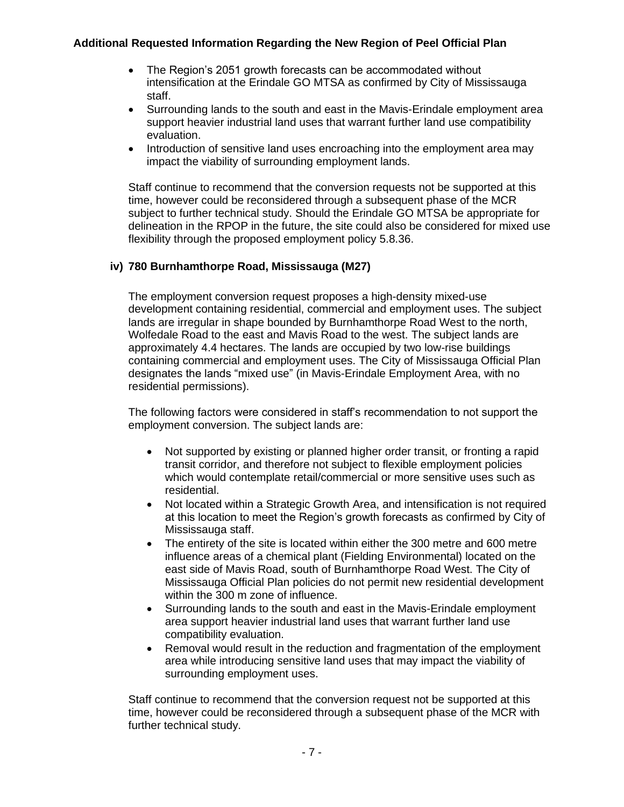- The Region's 2051 growth forecasts can be accommodated without intensification at the Erindale GO MTSA as confirmed by City of Mississauga staff.
- Surrounding lands to the south and east in the Mavis-Erindale employment area support heavier industrial land uses that warrant further land use compatibility evaluation.
- Introduction of sensitive land uses encroaching into the employment area may impact the viability of surrounding employment lands.

Staff continue to recommend that the conversion requests not be supported at this time, however could be reconsidered through a subsequent phase of the MCR subject to further technical study. Should the Erindale GO MTSA be appropriate for delineation in the RPOP in the future, the site could also be considered for mixed use flexibility through the proposed employment policy 5.8.36.

### **iv) 780 Burnhamthorpe Road, Mississauga (M27)**

The employment conversion request proposes a high-density mixed-use development containing residential, commercial and employment uses. The subject lands are irregular in shape bounded by Burnhamthorpe Road West to the north, Wolfedale Road to the east and Mavis Road to the west. The subject lands are approximately 4.4 hectares. The lands are occupied by two low-rise buildings containing commercial and employment uses. The City of Mississauga Official Plan designates the lands "mixed use" (in Mavis-Erindale Employment Area, with no residential permissions).

The following factors were considered in staff's recommendation to not support the employment conversion. The subject lands are:

- Not supported by existing or planned higher order transit, or fronting a rapid transit corridor, and therefore not subject to flexible employment policies which would contemplate retail/commercial or more sensitive uses such as residential.
- Not located within a Strategic Growth Area, and intensification is not required at this location to meet the Region's growth forecasts as confirmed by City of Mississauga staff.
- The entirety of the site is located within either the 300 metre and 600 metre influence areas of a chemical plant (Fielding Environmental) located on the east side of Mavis Road, south of Burnhamthorpe Road West. The City of Mississauga Official Plan policies do not permit new residential development within the 300 m zone of influence.
- Surrounding lands to the south and east in the Mavis-Erindale employment area support heavier industrial land uses that warrant further land use compatibility evaluation.
- Removal would result in the reduction and fragmentation of the employment area while introducing sensitive land uses that may impact the viability of surrounding employment uses.

Staff continue to recommend that the conversion request not be supported at this time, however could be reconsidered through a subsequent phase of the MCR with further technical study.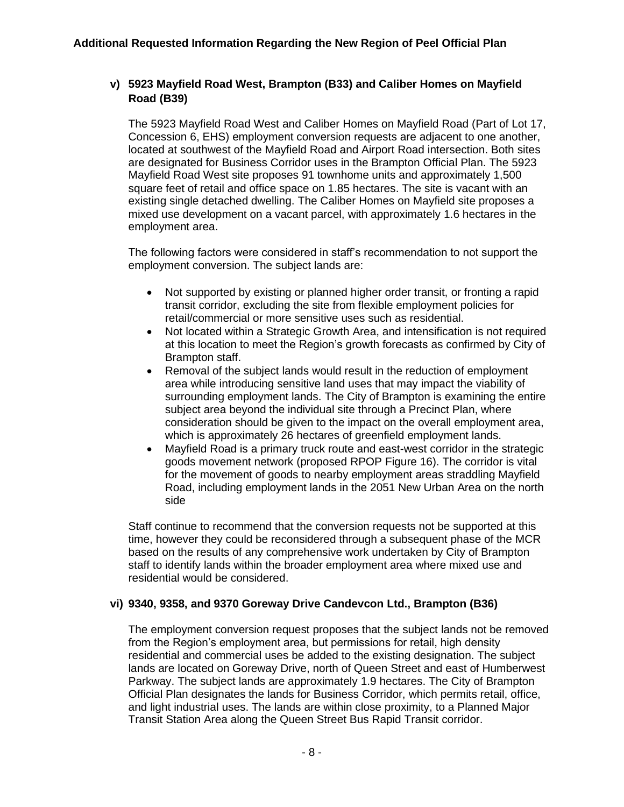## **v) 5923 Mayfield Road West, Brampton (B33) and Caliber Homes on Mayfield Road (B39)**

The 5923 Mayfield Road West and Caliber Homes on Mayfield Road (Part of Lot 17, Concession 6, EHS) employment conversion requests are adjacent to one another, located at southwest of the Mayfield Road and Airport Road intersection. Both sites are designated for Business Corridor uses in the Brampton Official Plan. The 5923 Mayfield Road West site proposes 91 townhome units and approximately 1,500 square feet of retail and office space on 1.85 hectares. The site is vacant with an existing single detached dwelling. The Caliber Homes on Mayfield site proposes a mixed use development on a vacant parcel, with approximately 1.6 hectares in the employment area.

The following factors were considered in staff's recommendation to not support the employment conversion. The subject lands are:

- Not supported by existing or planned higher order transit, or fronting a rapid transit corridor, excluding the site from flexible employment policies for retail/commercial or more sensitive uses such as residential.
- Not located within a Strategic Growth Area, and intensification is not required at this location to meet the Region's growth forecasts as confirmed by City of Brampton staff.
- Removal of the subject lands would result in the reduction of employment area while introducing sensitive land uses that may impact the viability of surrounding employment lands. The City of Brampton is examining the entire subject area beyond the individual site through a Precinct Plan, where consideration should be given to the impact on the overall employment area, which is approximately 26 hectares of greenfield employment lands.
- Mayfield Road is a primary truck route and east-west corridor in the strategic goods movement network (proposed RPOP Figure 16). The corridor is vital for the movement of goods to nearby employment areas straddling Mayfield Road, including employment lands in the 2051 New Urban Area on the north side

Staff continue to recommend that the conversion requests not be supported at this time, however they could be reconsidered through a subsequent phase of the MCR based on the results of any comprehensive work undertaken by City of Brampton staff to identify lands within the broader employment area where mixed use and residential would be considered.

### **vi) 9340, 9358, and 9370 Goreway Drive Candevcon Ltd., Brampton (B36)**

The employment conversion request proposes that the subject lands not be removed from the Region's employment area, but permissions for retail, high density residential and commercial uses be added to the existing designation. The subject lands are located on Goreway Drive, north of Queen Street and east of Humberwest Parkway. The subject lands are approximately 1.9 hectares. The City of Brampton Official Plan designates the lands for Business Corridor, which permits retail, office, and light industrial uses. The lands are within close proximity, to a Planned Major Transit Station Area along the Queen Street Bus Rapid Transit corridor.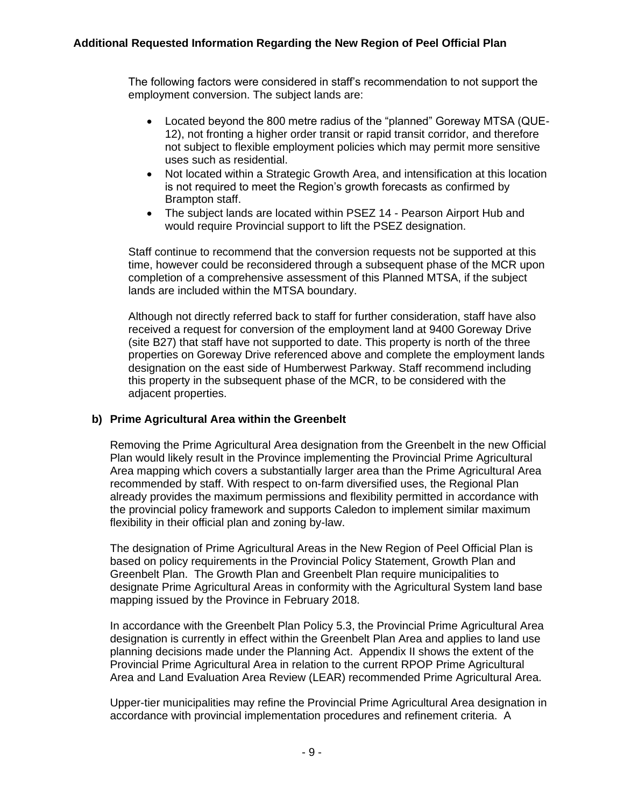The following factors were considered in staff's recommendation to not support the employment conversion. The subject lands are:

- Located beyond the 800 metre radius of the "planned" Goreway MTSA (QUE-12), not fronting a higher order transit or rapid transit corridor, and therefore not subject to flexible employment policies which may permit more sensitive uses such as residential.
- Not located within a Strategic Growth Area, and intensification at this location is not required to meet the Region's growth forecasts as confirmed by Brampton staff.
- The subject lands are located within PSEZ 14 Pearson Airport Hub and would require Provincial support to lift the PSEZ designation.

Staff continue to recommend that the conversion requests not be supported at this time, however could be reconsidered through a subsequent phase of the MCR upon completion of a comprehensive assessment of this Planned MTSA, if the subject lands are included within the MTSA boundary.

Although not directly referred back to staff for further consideration, staff have also received a request for conversion of the employment land at 9400 Goreway Drive (site B27) that staff have not supported to date. This property is north of the three properties on Goreway Drive referenced above and complete the employment lands designation on the east side of Humberwest Parkway. Staff recommend including this property in the subsequent phase of the MCR, to be considered with the adjacent properties.

#### **b) Prime Agricultural Area within the Greenbelt**

Removing the Prime Agricultural Area designation from the Greenbelt in the new Official Plan would likely result in the Province implementing the Provincial Prime Agricultural Area mapping which covers a substantially larger area than the Prime Agricultural Area recommended by staff. With respect to on-farm diversified uses, the Regional Plan already provides the maximum permissions and flexibility permitted in accordance with the provincial policy framework and supports Caledon to implement similar maximum flexibility in their official plan and zoning by-law.

The designation of Prime Agricultural Areas in the New Region of Peel Official Plan is based on policy requirements in the Provincial Policy Statement, Growth Plan and Greenbelt Plan. The Growth Plan and Greenbelt Plan require municipalities to designate Prime Agricultural Areas in conformity with the Agricultural System land base mapping issued by the Province in February 2018.

In accordance with the Greenbelt Plan Policy 5.3, the Provincial Prime Agricultural Area designation is currently in effect within the Greenbelt Plan Area and applies to land use planning decisions made under the Planning Act. Appendix II shows the extent of the Provincial Prime Agricultural Area in relation to the current RPOP Prime Agricultural Area and Land Evaluation Area Review (LEAR) recommended Prime Agricultural Area.

Upper-tier municipalities may refine the Provincial Prime Agricultural Area designation in accordance with provincial implementation procedures and refinement criteria. A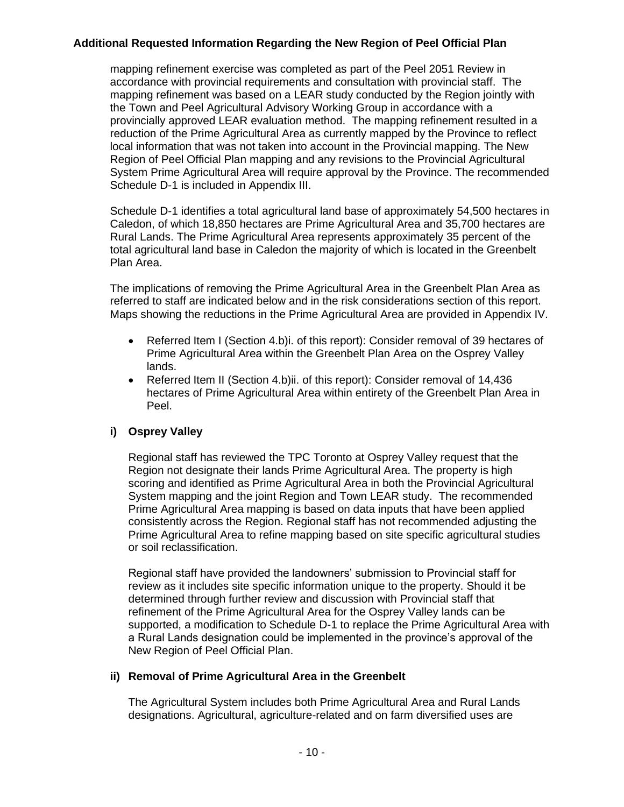mapping refinement exercise was completed as part of the Peel 2051 Review in accordance with provincial requirements and consultation with provincial staff. The mapping refinement was based on a LEAR study conducted by the Region jointly with the Town and Peel Agricultural Advisory Working Group in accordance with a provincially approved LEAR evaluation method. The mapping refinement resulted in a reduction of the Prime Agricultural Area as currently mapped by the Province to reflect local information that was not taken into account in the Provincial mapping. The New Region of Peel Official Plan mapping and any revisions to the Provincial Agricultural System Prime Agricultural Area will require approval by the Province. The recommended Schedule D-1 is included in Appendix III.

Schedule D-1 identifies a total agricultural land base of approximately 54,500 hectares in Caledon, of which 18,850 hectares are Prime Agricultural Area and 35,700 hectares are Rural Lands. The Prime Agricultural Area represents approximately 35 percent of the total agricultural land base in Caledon the majority of which is located in the Greenbelt Plan Area.

The implications of removing the Prime Agricultural Area in the Greenbelt Plan Area as referred to staff are indicated below and in the risk considerations section of this report. Maps showing the reductions in the Prime Agricultural Area are provided in Appendix IV.

- Referred Item I (Section 4.b)i. of this report): Consider removal of 39 hectares of Prime Agricultural Area within the Greenbelt Plan Area on the Osprey Valley lands.
- Referred Item II (Section 4.b)ii. of this report): Consider removal of 14,436 hectares of Prime Agricultural Area within entirety of the Greenbelt Plan Area in Peel.

# **i) Osprey Valley**

Regional staff has reviewed the TPC Toronto at Osprey Valley request that the Region not designate their lands Prime Agricultural Area. The property is high scoring and identified as Prime Agricultural Area in both the Provincial Agricultural System mapping and the joint Region and Town LEAR study. The recommended Prime Agricultural Area mapping is based on data inputs that have been applied consistently across the Region. Regional staff has not recommended adjusting the Prime Agricultural Area to refine mapping based on site specific agricultural studies or soil reclassification.

Regional staff have provided the landowners' submission to Provincial staff for review as it includes site specific information unique to the property. Should it be determined through further review and discussion with Provincial staff that refinement of the Prime Agricultural Area for the Osprey Valley lands can be supported, a modification to Schedule D-1 to replace the Prime Agricultural Area with a Rural Lands designation could be implemented in the province's approval of the New Region of Peel Official Plan.

### **ii) Removal of Prime Agricultural Area in the Greenbelt**

The Agricultural System includes both Prime Agricultural Area and Rural Lands designations. Agricultural, agriculture-related and on farm diversified uses are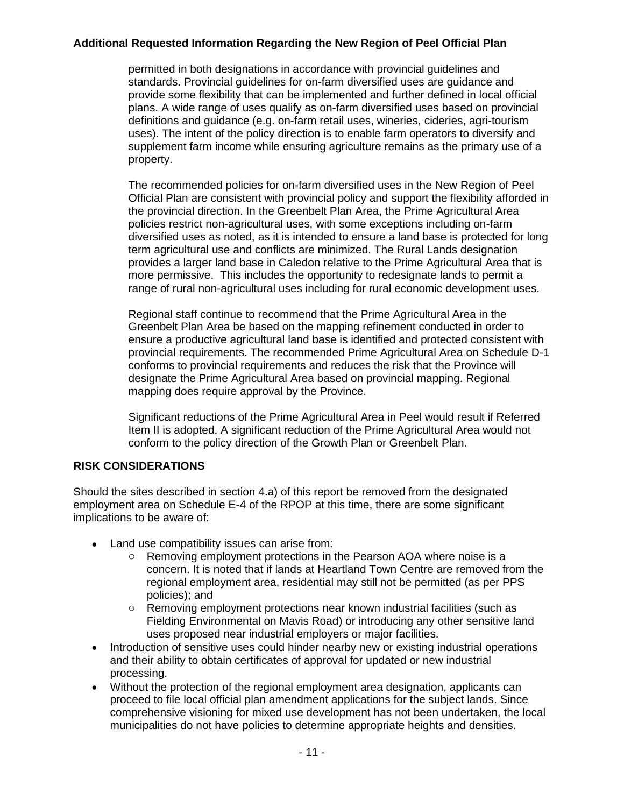permitted in both designations in accordance with provincial guidelines and standards. Provincial guidelines for on-farm diversified uses are guidance and provide some flexibility that can be implemented and further defined in local official plans. A wide range of uses qualify as on-farm diversified uses based on provincial definitions and guidance (e.g. on-farm retail uses, wineries, cideries, agri-tourism uses). The intent of the policy direction is to enable farm operators to diversify and supplement farm income while ensuring agriculture remains as the primary use of a property.

The recommended policies for on-farm diversified uses in the New Region of Peel Official Plan are consistent with provincial policy and support the flexibility afforded in the provincial direction. In the Greenbelt Plan Area, the Prime Agricultural Area policies restrict non-agricultural uses, with some exceptions including on-farm diversified uses as noted, as it is intended to ensure a land base is protected for long term agricultural use and conflicts are minimized. The Rural Lands designation provides a larger land base in Caledon relative to the Prime Agricultural Area that is more permissive. This includes the opportunity to redesignate lands to permit a range of rural non-agricultural uses including for rural economic development uses.

Regional staff continue to recommend that the Prime Agricultural Area in the Greenbelt Plan Area be based on the mapping refinement conducted in order to ensure a productive agricultural land base is identified and protected consistent with provincial requirements. The recommended Prime Agricultural Area on Schedule D-1 conforms to provincial requirements and reduces the risk that the Province will designate the Prime Agricultural Area based on provincial mapping. Regional mapping does require approval by the Province.

Significant reductions of the Prime Agricultural Area in Peel would result if Referred Item II is adopted. A significant reduction of the Prime Agricultural Area would not conform to the policy direction of the Growth Plan or Greenbelt Plan.

### **RISK CONSIDERATIONS**

Should the sites described in section 4.a) of this report be removed from the designated employment area on Schedule E-4 of the RPOP at this time, there are some significant implications to be aware of:

- Land use compatibility issues can arise from:
	- $\circ$  Removing employment protections in the Pearson AOA where noise is a concern. It is noted that if lands at Heartland Town Centre are removed from the regional employment area, residential may still not be permitted (as per PPS policies); and
	- o Removing employment protections near known industrial facilities (such as Fielding Environmental on Mavis Road) or introducing any other sensitive land uses proposed near industrial employers or major facilities.
- Introduction of sensitive uses could hinder nearby new or existing industrial operations and their ability to obtain certificates of approval for updated or new industrial processing.
- Without the protection of the regional employment area designation, applicants can proceed to file local official plan amendment applications for the subject lands. Since comprehensive visioning for mixed use development has not been undertaken, the local municipalities do not have policies to determine appropriate heights and densities.